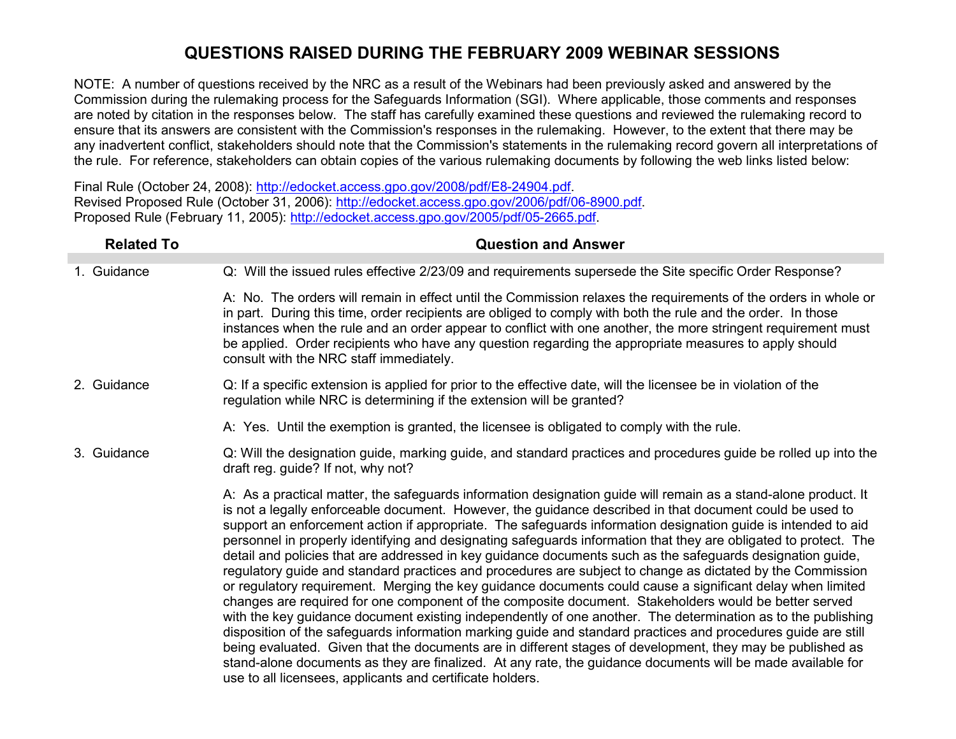NOTE: A number of questions received by the NRC as a result of the Webinars had been previously asked and answered by the Commission during the rulemaking process for the Safeguards Information (SGI). Where applicable, those comments and responses are noted by citation in the responses below. The staff has carefully examined these questions and reviewed the rulemaking record to ensure that its answers are consistent with the Commission's responses in the rulemaking. However, to the extent that there may be any inadvertent conflict, stakeholders should note that the Commission's statements in the rulemaking record govern all interpretations of the rule. For reference, stakeholders can obtain copies of the various rulemaking documents by following the web links listed below:

Final Rule (October 24, 2008): http://edocket.access.gpo.gov/2008/pdf/E8-24904.pdf. Revised Proposed Rule (October 31, 2006): http://edocket.access.gpo.gov/2006/pdf/06-8900.pdf. Proposed Rule (February 11, 2005): http://edocket.access.gpo.gov/2005/pdf/05-2665.pdf.

| <b>Related To</b> | <b>Question and Answer</b>                                                                                                                                                                                                                                                                                                                                                                                                                                                                                                                                                                                                                                                                                                                                                                                                                                                                                                                                                                                                                                                                                                                                                                                                                                                                                                                                                                                                                     |
|-------------------|------------------------------------------------------------------------------------------------------------------------------------------------------------------------------------------------------------------------------------------------------------------------------------------------------------------------------------------------------------------------------------------------------------------------------------------------------------------------------------------------------------------------------------------------------------------------------------------------------------------------------------------------------------------------------------------------------------------------------------------------------------------------------------------------------------------------------------------------------------------------------------------------------------------------------------------------------------------------------------------------------------------------------------------------------------------------------------------------------------------------------------------------------------------------------------------------------------------------------------------------------------------------------------------------------------------------------------------------------------------------------------------------------------------------------------------------|
| 1. Guidance       | Q: Will the issued rules effective 2/23/09 and requirements supersede the Site specific Order Response?                                                                                                                                                                                                                                                                                                                                                                                                                                                                                                                                                                                                                                                                                                                                                                                                                                                                                                                                                                                                                                                                                                                                                                                                                                                                                                                                        |
|                   | A: No. The orders will remain in effect until the Commission relaxes the requirements of the orders in whole or<br>in part. During this time, order recipients are obliged to comply with both the rule and the order. In those<br>instances when the rule and an order appear to conflict with one another, the more stringent requirement must<br>be applied. Order recipients who have any question regarding the appropriate measures to apply should<br>consult with the NRC staff immediately.                                                                                                                                                                                                                                                                                                                                                                                                                                                                                                                                                                                                                                                                                                                                                                                                                                                                                                                                           |
| 2. Guidance       | Q: If a specific extension is applied for prior to the effective date, will the licensee be in violation of the<br>regulation while NRC is determining if the extension will be granted?                                                                                                                                                                                                                                                                                                                                                                                                                                                                                                                                                                                                                                                                                                                                                                                                                                                                                                                                                                                                                                                                                                                                                                                                                                                       |
|                   | A: Yes. Until the exemption is granted, the licensee is obligated to comply with the rule.                                                                                                                                                                                                                                                                                                                                                                                                                                                                                                                                                                                                                                                                                                                                                                                                                                                                                                                                                                                                                                                                                                                                                                                                                                                                                                                                                     |
| 3. Guidance       | Q: Will the designation guide, marking guide, and standard practices and procedures guide be rolled up into the<br>draft reg. guide? If not, why not?                                                                                                                                                                                                                                                                                                                                                                                                                                                                                                                                                                                                                                                                                                                                                                                                                                                                                                                                                                                                                                                                                                                                                                                                                                                                                          |
|                   | A: As a practical matter, the safeguards information designation guide will remain as a stand-alone product. It<br>is not a legally enforceable document. However, the guidance described in that document could be used to<br>support an enforcement action if appropriate. The safeguards information designation guide is intended to aid<br>personnel in properly identifying and designating safeguards information that they are obligated to protect. The<br>detail and policies that are addressed in key guidance documents such as the safeguards designation guide,<br>regulatory guide and standard practices and procedures are subject to change as dictated by the Commission<br>or regulatory requirement. Merging the key guidance documents could cause a significant delay when limited<br>changes are required for one component of the composite document. Stakeholders would be better served<br>with the key guidance document existing independently of one another. The determination as to the publishing<br>disposition of the safeguards information marking guide and standard practices and procedures guide are still<br>being evaluated. Given that the documents are in different stages of development, they may be published as<br>stand-alone documents as they are finalized. At any rate, the guidance documents will be made available for<br>use to all licensees, applicants and certificate holders. |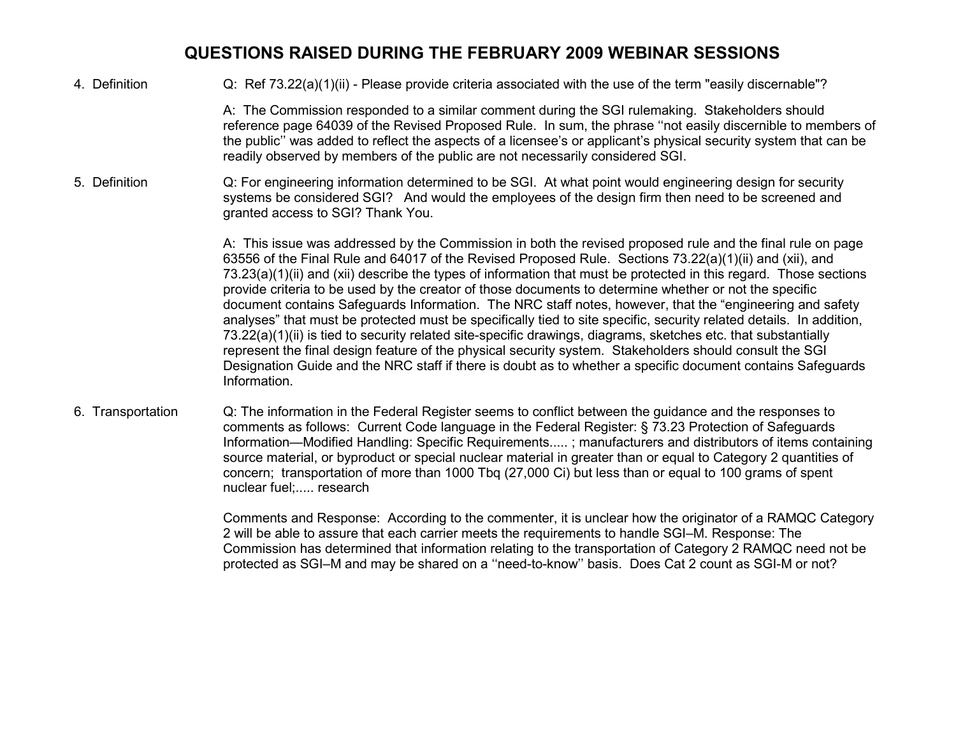4. Definition Q: Ref 73.22(a)(1)(ii) - Please provide criteria associated with the use of the term "easily discernable"?

A: The Commission responded to a similar comment during the SGI rulemaking. Stakeholders should reference page 64039 of the Revised Proposed Rule. In sum, the phrase ''not easily discernible to members of the public'' was added to reflect the aspects of a licensee's or applicant's physical security system that can be readily observed by members of the public are not necessarily considered SGI.

5. Definition Q: For engineering information determined to be SGI. At what point would engineering design for security systems be considered SGI? And would the employees of the design firm then need to be screened and granted access to SGI? Thank You.

> A: This issue was addressed by the Commission in both the revised proposed rule and the final rule on page 63556 of the Final Rule and 64017 of the Revised Proposed Rule. Sections 73.22(a)(1)(ii) and (xii), and 73.23(a)(1)(ii) and (xii) describe the types of information that must be protected in this regard. Those sections provide criteria to be used by the creator of those documents to determine whether or not the specific document contains Safeguards Information. The NRC staff notes, however, that the "engineering and safety analyses" that must be protected must be specifically tied to site specific, security related details. In addition, 73.22(a)(1)(ii) is tied to security related site-specific drawings, diagrams, sketches etc. that substantially represent the final design feature of the physical security system. Stakeholders should consult the SGI Designation Guide and the NRC staff if there is doubt as to whether a specific document contains Safeguards Information.

6. Transportation Q: The information in the Federal Register seems to conflict between the guidance and the responses to comments as follows: Current Code language in the Federal Register: § 73.23 Protection of Safeguards Information—Modified Handling: Specific Requirements..... ; manufacturers and distributors of items containing source material, or byproduct or special nuclear material in greater than or equal to Category 2 quantities of concern; transportation of more than 1000 Tbq (27,000 Ci) but less than or equal to 100 grams of spent nuclear fuel;..... research

> Comments and Response: According to the commenter, it is unclear how the originator of a RAMQC Category 2 will be able to assure that each carrier meets the requirements to handle SGI–M. Response: The Commission has determined that information relating to the transportation of Category 2 RAMQC need not be protected as SGI–M and may be shared on a ''need-to-know'' basis. Does Cat 2 count as SGI-M or not?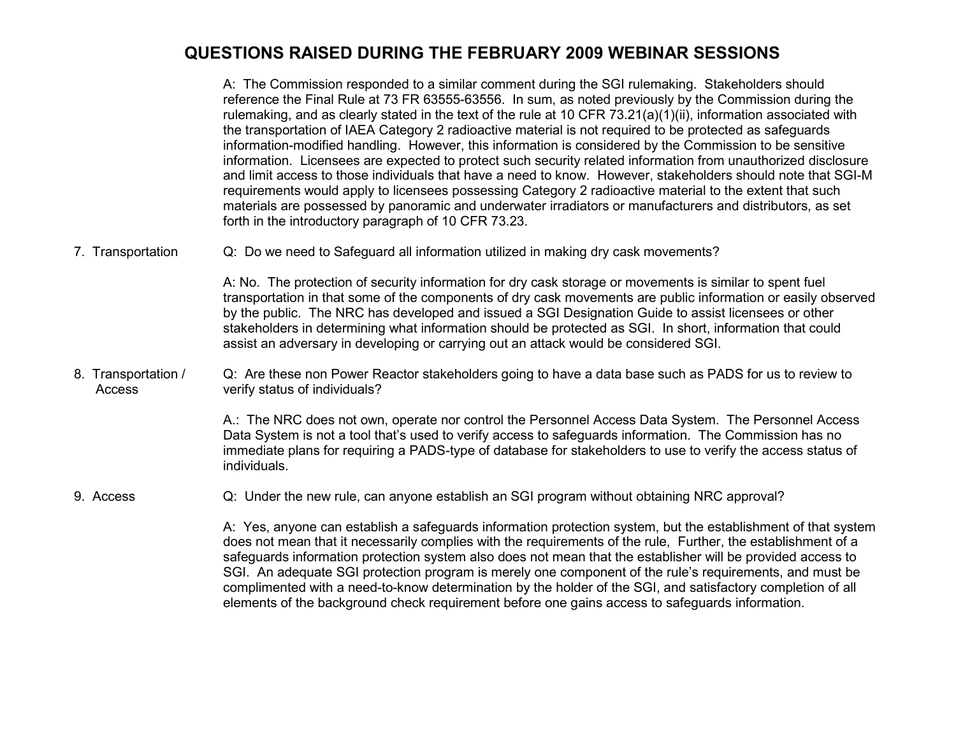A: The Commission responded to a similar comment during the SGI rulemaking. Stakeholders should reference the Final Rule at 73 FR 63555-63556. In sum, as noted previously by the Commission during the rulemaking, and as clearly stated in the text of the rule at 10 CFR 73.21(a)(1)(ii), information associated with the transportation of IAEA Category 2 radioactive material is not required to be protected as safeguards information-modified handling. However, this information is considered by the Commission to be sensitive information. Licensees are expected to protect such security related information from unauthorized disclosure and limit access to those individuals that have a need to know. However, stakeholders should note that SGI-M requirements would apply to licensees possessing Category 2 radioactive material to the extent that such materials are possessed by panoramic and underwater irradiators or manufacturers and distributors, as set forth in the introductory paragraph of 10 CFR 73.23.

7. Transportation Q: Do we need to Safeguard all information utilized in making dry cask movements?

A: No. The protection of security information for dry cask storage or movements is similar to spent fuel transportation in that some of the components of dry cask movements are public information or easily observed by the public. The NRC has developed and issued a SGI Designation Guide to assist licensees or other stakeholders in determining what information should be protected as SGI. In short, information that could assist an adversary in developing or carrying out an attack would be considered SGI.

8. Transportation / Access Q: Are these non Power Reactor stakeholders going to have a data base such as PADS for us to review to verify status of individuals?

> A.: The NRC does not own, operate nor control the Personnel Access Data System. The Personnel Access Data System is not a tool that's used to verify access to safeguards information. The Commission has no immediate plans for requiring a PADS-type of database for stakeholders to use to verify the access status of individuals.

9. Access Q: Under the new rule, can anyone establish an SGI program without obtaining NRC approval?

A: Yes, anyone can establish a safeguards information protection system, but the establishment of that system does not mean that it necessarily complies with the requirements of the rule, Further, the establishment of a safeguards information protection system also does not mean that the establisher will be provided access to SGI. An adequate SGI protection program is merely one component of the rule's requirements, and must be complimented with a need-to-know determination by the holder of the SGI, and satisfactory completion of all elements of the background check requirement before one gains access to safeguards information.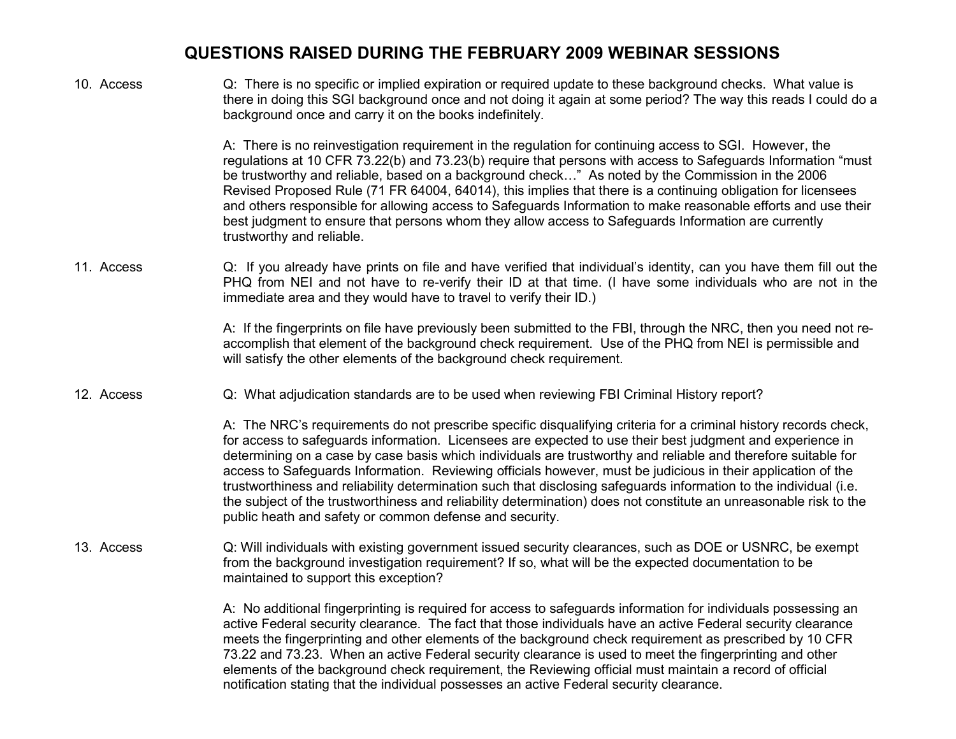10. Access Q: There is no specific or implied expiration or required update to these background checks. What value is there in doing this SGI background once and not doing it again at some period? The way this reads I could do a background once and carry it on the books indefinitely. A: There is no reinvestigation requirement in the regulation for continuing access to SGI. However, the regulations at 10 CFR 73.22(b) and 73.23(b) require that persons with access to Safeguards Information "must be trustworthy and reliable, based on a background check…" As noted by the Commission in the 2006 Revised Proposed Rule (71 FR 64004, 64014), this implies that there is a continuing obligation for licensees and others responsible for allowing access to Safeguards Information to make reasonable efforts and use their best judgment to ensure that persons whom they allow access to Safeguards Information are currently trustworthy and reliable. 11. Access Q: If you already have prints on file and have verified that individual's identity, can you have them fill out the PHQ from NEI and not have to re-verify their ID at that time. (I have some individuals who are not in the immediate area and they would have to travel to verify their ID.) A: If the fingerprints on file have previously been submitted to the FBI, through the NRC, then you need not reaccomplish that element of the background check requirement. Use of the PHQ from NEI is permissible and will satisfy the other elements of the background check requirement. 12. Access Q: What adjudication standards are to be used when reviewing FBI Criminal History report? A: The NRC's requirements do not prescribe specific disqualifying criteria for a criminal history records check, for access to safeguards information. Licensees are expected to use their best judgment and experience in determining on a case by case basis which individuals are trustworthy and reliable and therefore suitable for access to Safeguards Information. Reviewing officials however, must be judicious in their application of the trustworthiness and reliability determination such that disclosing safeguards information to the individual (i.e. the subject of the trustworthiness and reliability determination) does not constitute an unreasonable risk to the public heath and safety or common defense and security. 13. Access Q: Will individuals with existing government issued security clearances, such as DOE or USNRC, be exempt from the background investigation requirement? If so, what will be the expected documentation to be maintained to support this exception? A: No additional fingerprinting is required for access to safeguards information for individuals possessing an active Federal security clearance. The fact that those individuals have an active Federal security clearance meets the fingerprinting and other elements of the background check requirement as prescribed by 10 CFR 73.22 and 73.23. When an active Federal security clearance is used to meet the fingerprinting and other elements of the background check requirement, the Reviewing official must maintain a record of official notification stating that the individual possesses an active Federal security clearance.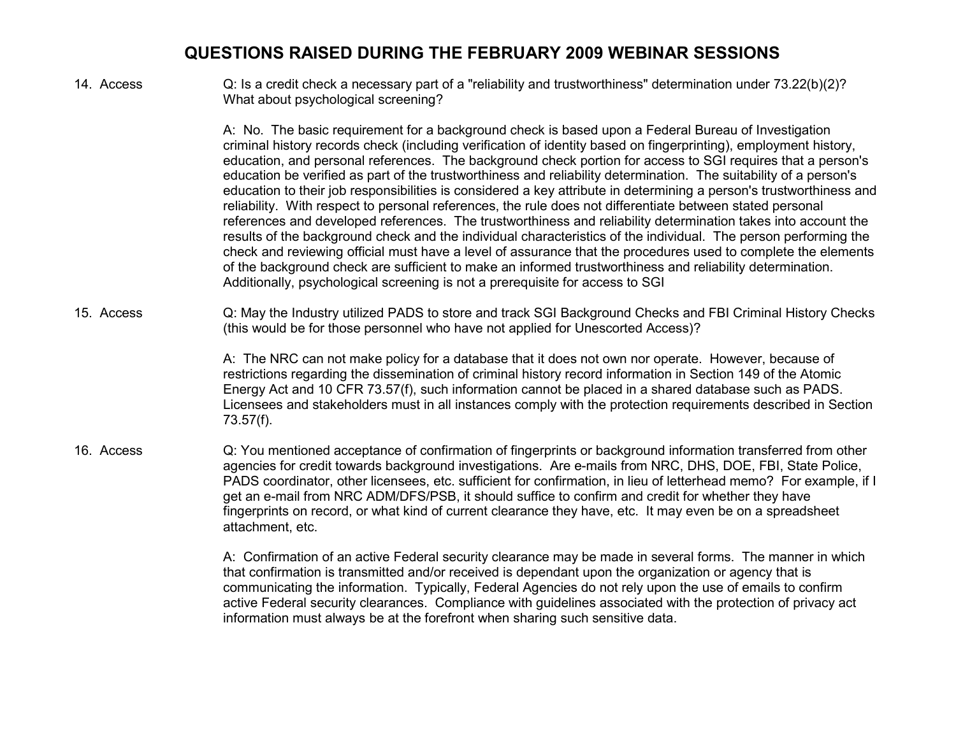14. Access Q: Is a credit check a necessary part of a "reliability and trustworthiness" determination under 73.22(b)(2)? What about psychological screening?

> A: No. The basic requirement for a background check is based upon a Federal Bureau of Investigation criminal history records check (including verification of identity based on fingerprinting), employment history, education, and personal references. The background check portion for access to SGI requires that a person's education be verified as part of the trustworthiness and reliability determination. The suitability of a person's education to their job responsibilities is considered a key attribute in determining a person's trustworthiness and reliability. With respect to personal references, the rule does not differentiate between stated personal references and developed references. The trustworthiness and reliability determination takes into account the results of the background check and the individual characteristics of the individual. The person performing the check and reviewing official must have a level of assurance that the procedures used to complete the elements of the background check are sufficient to make an informed trustworthiness and reliability determination. Additionally, psychological screening is not a prerequisite for access to SGI

15. Access Q: May the Industry utilized PADS to store and track SGI Background Checks and FBI Criminal History Checks (this would be for those personnel who have not applied for Unescorted Access)?

> A: The NRC can not make policy for a database that it does not own nor operate. However, because of restrictions regarding the dissemination of criminal history record information in Section 149 of the Atomic Energy Act and 10 CFR 73.57(f), such information cannot be placed in a shared database such as PADS. Licensees and stakeholders must in all instances comply with the protection requirements described in Section 73.57(f).

16. Access Q: You mentioned acceptance of confirmation of fingerprints or background information transferred from other agencies for credit towards background investigations. Are e-mails from NRC, DHS, DOE, FBI, State Police, PADS coordinator, other licensees, etc. sufficient for confirmation, in lieu of letterhead memo? For example, if I get an e-mail from NRC ADM/DFS/PSB, it should suffice to confirm and credit for whether they have fingerprints on record, or what kind of current clearance they have, etc. It may even be on a spreadsheet attachment, etc.

> A: Confirmation of an active Federal security clearance may be made in several forms. The manner in which that confirmation is transmitted and/or received is dependant upon the organization or agency that is communicating the information. Typically, Federal Agencies do not rely upon the use of emails to confirm active Federal security clearances. Compliance with guidelines associated with the protection of privacy act information must always be at the forefront when sharing such sensitive data.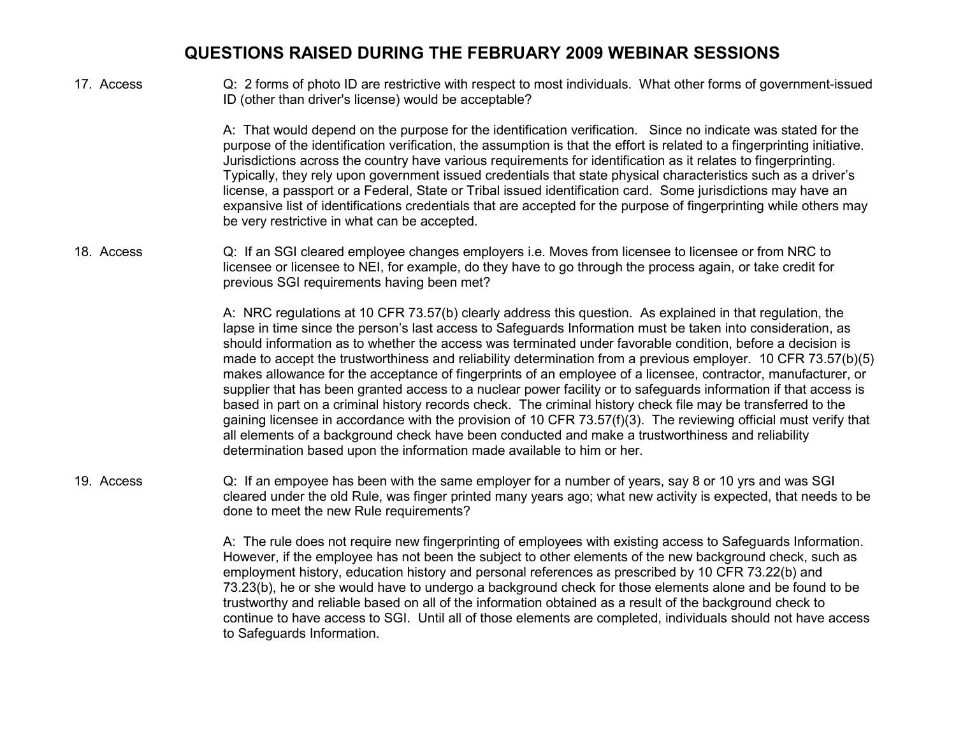17. Access Q: 2 forms of photo ID are restrictive with respect to most individuals. What other forms of government-issued ID (other than driver's license) would be acceptable?

> A: That would depend on the purpose for the identification verification. Since no indicate was stated for the purpose of the identification verification, the assumption is that the effort is related to a fingerprinting initiative. Jurisdictions across the country have various requirements for identification as it relates to fingerprinting. Typically, they rely upon government issued credentials that state physical characteristics such as a driver's license, a passport or a Federal, State or Tribal issued identification card. Some jurisdictions may have an expansive list of identifications credentials that are accepted for the purpose of fingerprinting while others may be very restrictive in what can be accepted.

18. Access Q: If an SGI cleared employee changes employers i.e. Moves from licensee to licensee or from NRC to licensee or licensee to NEI, for example, do they have to go through the process again, or take credit for previous SGI requirements having been met?

> A: NRC regulations at 10 CFR 73.57(b) clearly address this question. As explained in that regulation, the lapse in time since the person's last access to Safeguards Information must be taken into consideration, as should information as to whether the access was terminated under favorable condition, before a decision is made to accept the trustworthiness and reliability determination from a previous employer. 10 CFR 73.57(b)(5) makes allowance for the acceptance of fingerprints of an employee of a licensee, contractor, manufacturer, or supplier that has been granted access to a nuclear power facility or to safeguards information if that access is based in part on a criminal history records check. The criminal history check file may be transferred to the gaining licensee in accordance with the provision of 10 CFR 73.57(f)(3). The reviewing official must verify that all elements of a background check have been conducted and make a trustworthiness and reliability determination based upon the information made available to him or her.

19. Access Q: If an empoyee has been with the same employer for a number of years, say 8 or 10 yrs and was SGI cleared under the old Rule, was finger printed many years ago; what new activity is expected, that needs to be done to meet the new Rule requirements?

> A: The rule does not require new fingerprinting of employees with existing access to Safeguards Information. However, if the employee has not been the subject to other elements of the new background check, such as employment history, education history and personal references as prescribed by 10 CFR 73.22(b) and 73.23(b), he or she would have to undergo a background check for those elements alone and be found to be trustworthy and reliable based on all of the information obtained as a result of the background check to continue to have access to SGI. Until all of those elements are completed, individuals should not have access to Safeguards Information.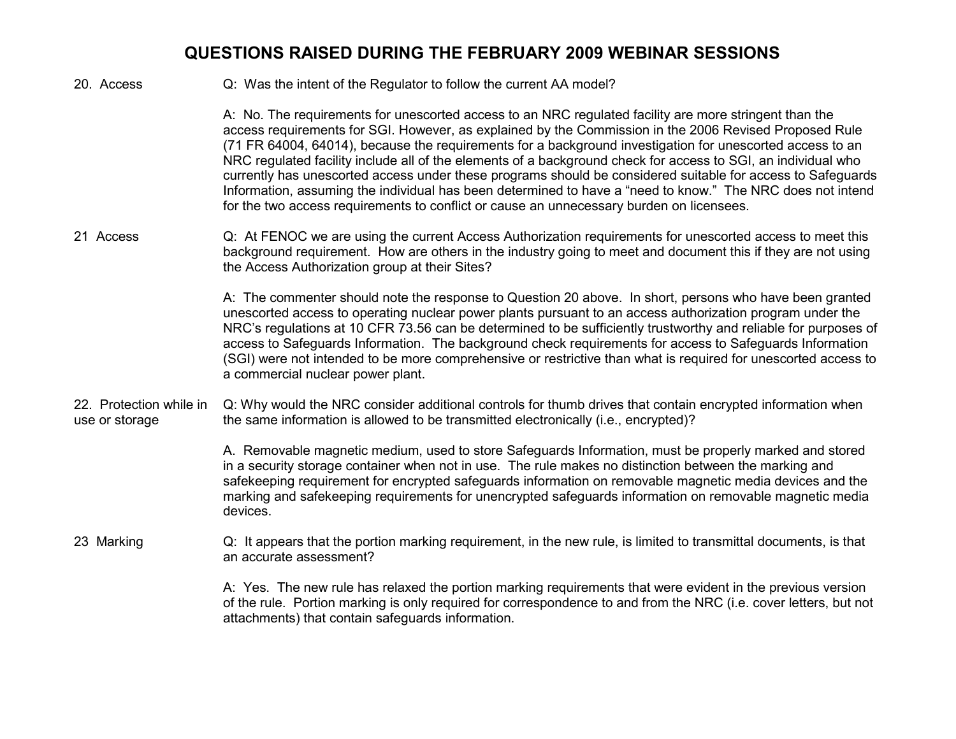20. Access Q: Was the intent of the Regulator to follow the current AA model?

A: No. The requirements for unescorted access to an NRC regulated facility are more stringent than the access requirements for SGI. However, as explained by the Commission in the 2006 Revised Proposed Rule (71 FR 64004, 64014), because the requirements for a background investigation for unescorted access to an NRC regulated facility include all of the elements of a background check for access to SGI, an individual who currently has unescorted access under these programs should be considered suitable for access to Safeguards Information, assuming the individual has been determined to have a "need to know." The NRC does not intend for the two access requirements to conflict or cause an unnecessary burden on licensees.

21 Access Q: At FENOC we are using the current Access Authorization requirements for unescorted access to meet this background requirement. How are others in the industry going to meet and document this if they are not using the Access Authorization group at their Sites?

> A: The commenter should note the response to Question 20 above. In short, persons who have been granted unescorted access to operating nuclear power plants pursuant to an access authorization program under the NRC's regulations at 10 CFR 73.56 can be determined to be sufficiently trustworthy and reliable for purposes of access to Safeguards Information. The background check requirements for access to Safeguards Information (SGI) were not intended to be more comprehensive or restrictive than what is required for unescorted access to a commercial nuclear power plant.

22. Protection while in use or storage Q: Why would the NRC consider additional controls for thumb drives that contain encrypted information when the same information is allowed to be transmitted electronically (i.e., encrypted)?

> A. Removable magnetic medium, used to store Safeguards Information, must be properly marked and stored in a security storage container when not in use. The rule makes no distinction between the marking and safekeeping requirement for encrypted safeguards information on removable magnetic media devices and the marking and safekeeping requirements for unencrypted safeguards information on removable magnetic media devices.

23 Marking Q: It appears that the portion marking requirement, in the new rule, is limited to transmittal documents, is that an accurate assessment?

> A: Yes. The new rule has relaxed the portion marking requirements that were evident in the previous version of the rule. Portion marking is only required for correspondence to and from the NRC (i.e. cover letters, but not attachments) that contain safeguards information.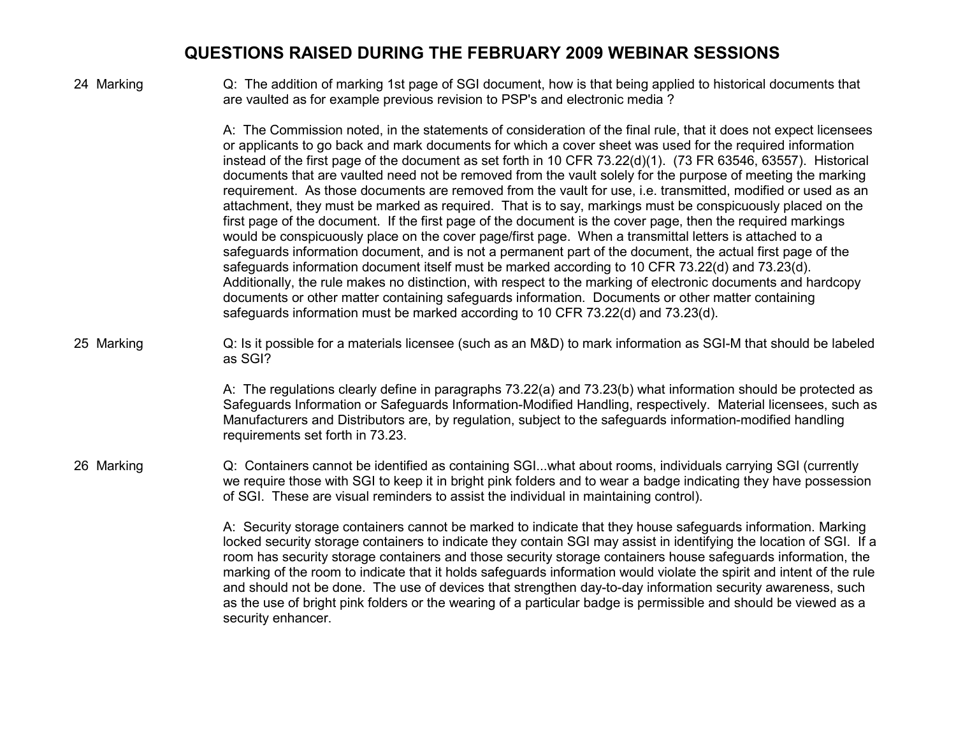24 Marking Q: The addition of marking 1st page of SGI document, how is that being applied to historical documents that are vaulted as for example previous revision to PSP's and electronic media ?

> A: The Commission noted, in the statements of consideration of the final rule, that it does not expect licensees or applicants to go back and mark documents for which a cover sheet was used for the required information instead of the first page of the document as set forth in 10 CFR 73.22(d)(1). (73 FR 63546, 63557). Historical documents that are vaulted need not be removed from the vault solely for the purpose of meeting the marking requirement. As those documents are removed from the vault for use, i.e. transmitted, modified or used as an attachment, they must be marked as required. That is to say, markings must be conspicuously placed on the first page of the document. If the first page of the document is the cover page, then the required markings would be conspicuously place on the cover page/first page. When a transmittal letters is attached to a safeguards information document, and is not a permanent part of the document, the actual first page of the safeguards information document itself must be marked according to 10 CFR 73.22(d) and 73.23(d). Additionally, the rule makes no distinction, with respect to the marking of electronic documents and hardcopy documents or other matter containing safeguards information. Documents or other matter containing safeguards information must be marked according to 10 CFR 73.22(d) and 73.23(d).

25 Marking Q: Is it possible for a materials licensee (such as an M&D) to mark information as SGI-M that should be labeled as SGI?

> A: The regulations clearly define in paragraphs 73.22(a) and 73.23(b) what information should be protected as Safeguards Information or Safeguards Information-Modified Handling, respectively. Material licensees, such as Manufacturers and Distributors are, by regulation, subject to the safeguards information-modified handling requirements set forth in 73.23.

26 Marking <br>Q: Containers cannot be identified as containing SGI...what about rooms, individuals carrying SGI (currently we require those with SGI to keep it in bright pink folders and to wear a badge indicating they have possession of SGI. These are visual reminders to assist the individual in maintaining control).

> A: Security storage containers cannot be marked to indicate that they house safeguards information. Marking locked security storage containers to indicate they contain SGI may assist in identifying the location of SGI. If a room has security storage containers and those security storage containers house safeguards information, the marking of the room to indicate that it holds safeguards information would violate the spirit and intent of the rule and should not be done. The use of devices that strengthen day-to-day information security awareness, such as the use of bright pink folders or the wearing of a particular badge is permissible and should be viewed as a security enhancer.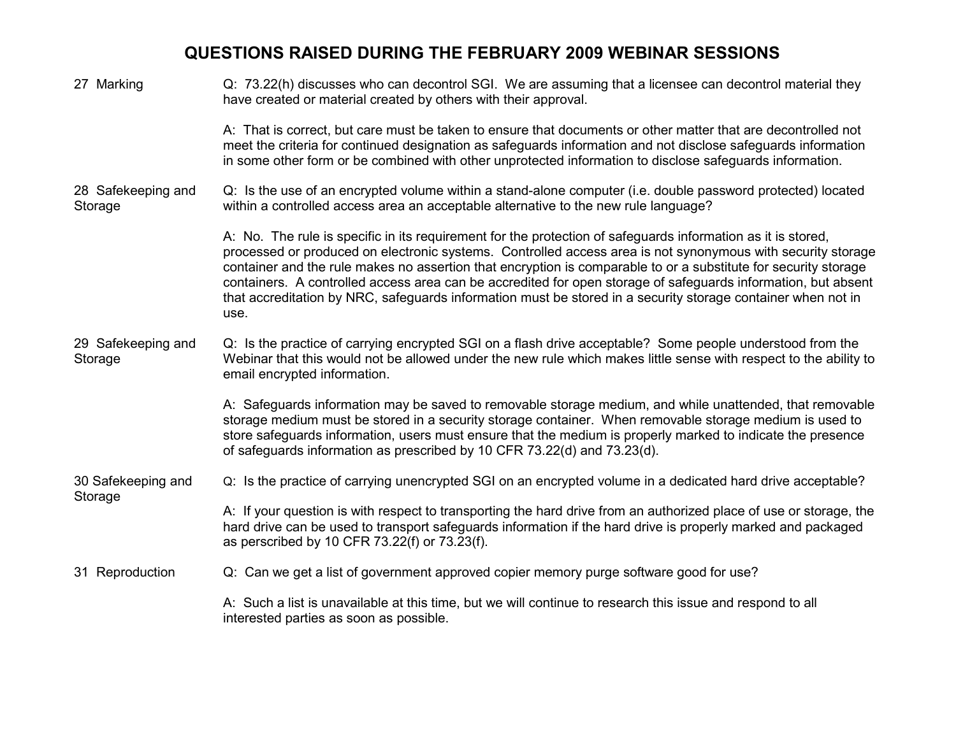| 27 Marking                    | Q: 73.22(h) discusses who can decontrol SGI. We are assuming that a licensee can decontrol material they<br>have created or material created by others with their approval.                                                                                                                                                                                                                                                                                                                                                                                                             |
|-------------------------------|-----------------------------------------------------------------------------------------------------------------------------------------------------------------------------------------------------------------------------------------------------------------------------------------------------------------------------------------------------------------------------------------------------------------------------------------------------------------------------------------------------------------------------------------------------------------------------------------|
|                               | A: That is correct, but care must be taken to ensure that documents or other matter that are decontrolled not<br>meet the criteria for continued designation as safeguards information and not disclose safeguards information<br>in some other form or be combined with other unprotected information to disclose safeguards information.                                                                                                                                                                                                                                              |
| 28 Safekeeping and<br>Storage | Q: Is the use of an encrypted volume within a stand-alone computer (i.e. double password protected) located<br>within a controlled access area an acceptable alternative to the new rule language?                                                                                                                                                                                                                                                                                                                                                                                      |
|                               | A: No. The rule is specific in its requirement for the protection of safeguards information as it is stored,<br>processed or produced on electronic systems. Controlled access area is not synonymous with security storage<br>container and the rule makes no assertion that encryption is comparable to or a substitute for security storage<br>containers. A controlled access area can be accredited for open storage of safeguards information, but absent<br>that accreditation by NRC, safeguards information must be stored in a security storage container when not in<br>use. |
| 29 Safekeeping and<br>Storage | Q: Is the practice of carrying encrypted SGI on a flash drive acceptable? Some people understood from the<br>Webinar that this would not be allowed under the new rule which makes little sense with respect to the ability to<br>email encrypted information.                                                                                                                                                                                                                                                                                                                          |
|                               | A: Safeguards information may be saved to removable storage medium, and while unattended, that removable<br>storage medium must be stored in a security storage container. When removable storage medium is used to<br>store safeguards information, users must ensure that the medium is properly marked to indicate the presence<br>of safeguards information as prescribed by 10 CFR 73.22(d) and 73.23(d).                                                                                                                                                                          |
| 30 Safekeeping and<br>Storage | Q: Is the practice of carrying unencrypted SGI on an encrypted volume in a dedicated hard drive acceptable?                                                                                                                                                                                                                                                                                                                                                                                                                                                                             |
|                               | A: If your question is with respect to transporting the hard drive from an authorized place of use or storage, the<br>hard drive can be used to transport safeguards information if the hard drive is properly marked and packaged<br>as perscribed by 10 CFR 73.22(f) or 73.23(f).                                                                                                                                                                                                                                                                                                     |
| 31 Reproduction               | Q: Can we get a list of government approved copier memory purge software good for use?                                                                                                                                                                                                                                                                                                                                                                                                                                                                                                  |
|                               | A: Such a list is unavailable at this time, but we will continue to research this issue and respond to all<br>interested parties as soon as possible.                                                                                                                                                                                                                                                                                                                                                                                                                                   |